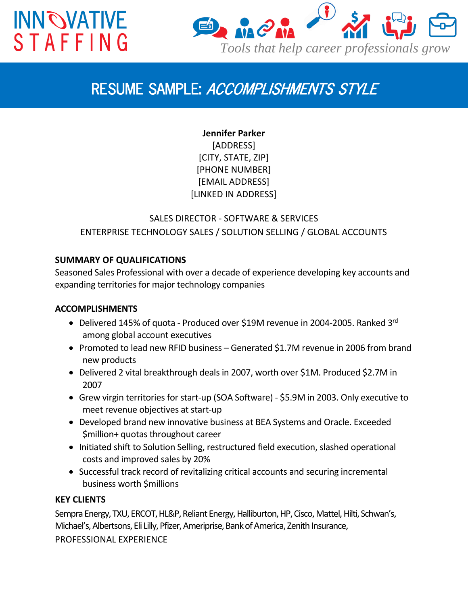# **INN OVATIVE STAFFING**



### *RESUME SAMPLE: ACCOMPLISHMENTS STYLE*

**Jennifer Parker** [ADDRESS] [CITY, STATE, ZIP] [PHONE NUMBER] [EMAIL ADDRESS] [LINKED IN ADDRESS]

### SALES DIRECTOR - SOFTWARE & SERVICES ENTERPRISE TECHNOLOGY SALES / SOLUTION SELLING / GLOBAL ACCOUNTS

#### **SUMMARY OF QUALIFICATIONS**

Seasoned Sales Professional with over a decade of experience developing key accounts and expanding territories for major technology companies

#### **ACCOMPLISHMENTS**

- Delivered 145% of quota Produced over \$19M revenue in 2004-2005. Ranked 3<sup>rd</sup> among global account executives
- Promoted to lead new RFID business Generated \$1.7M revenue in 2006 from brand new products
- Delivered 2 vital breakthrough deals in 2007, worth over \$1M. Produced \$2.7M in 2007
- Grew virgin territories for start-up (SOA Software) \$5.9M in 2003. Only executive to meet revenue objectives at start-up
- Developed brand new innovative business at BEA Systems and Oracle. Exceeded \$million+ quotas throughout career
- Initiated shift to Solution Selling, restructured field execution, slashed operational costs and improved sales by 20%
- Successful track record of revitalizing critical accounts and securing incremental business worth \$millions

#### **KEY CLIENTS**

Sempra Energy, TXU, ERCOT, HL&P, Reliant Energy, Halliburton, HP, Cisco, Mattel, Hilti, Schwan's, Michael's, Albertsons, Eli Lilly, Pfizer, Ameriprise, Bank of America, Zenith Insurance, PROFESSIONAL EXPERIENCE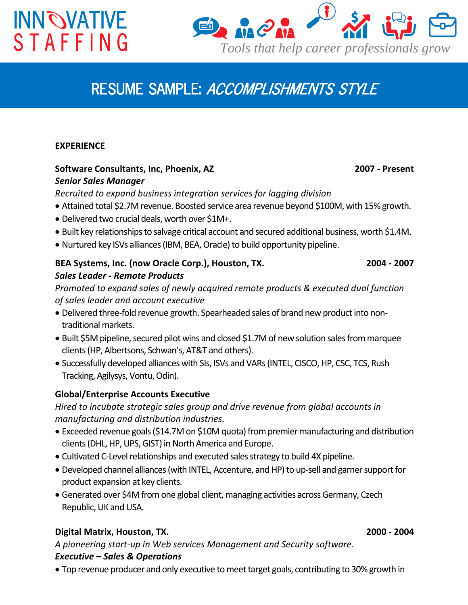# **INN OVATIVE STAFFING**



## *RESUME SAMPLE: ACCOMPLISHMENTS STYLE*

#### **EXPERIENCE**

#### **Software Consultants, Inc, Phoenix, AZ 2007 - Present** *Senior Sales Manager*

*Recruited to expand business integration services for lagging division*

- Attained total \$2.7M revenue. Boosted service area revenue beyond \$100M, with 15% growth.
- Delivered two crucial deals, worth over \$1M+.
- Built key relationships to salvage critical account and secured additional business, worth \$1.4M.
- Nurtured key ISVs alliances (IBM, BEA, Oracle) to build opportunity pipeline.

#### **BEA Systems, Inc. (now Oracle Corp.), Houston, TX. 2004 - 2007** *Sales Leader - Remote Products*

*Promoted to expand sales of newly acquired remote products & executed dual function of sales leader and account executive*

- Delivered three-fold revenue growth. Spearheaded sales of brand new product into nontraditional markets.
- Built \$5M pipeline, secured pilot wins and closed \$1.7M of new solution sales from marquee clients (HP, Albertsons, Schwan's, AT&T and others).
- Successfully developed alliances with SIs, ISVs and VARs (INTEL, CISCO, HP, CSC, TCS, Rush Tracking, Agilysys, Vontu, Odin).

#### **Global/Enterprise Accounts Executive**

*Hired to incubate strategic sales group and drive revenue from global accounts in manufacturing and distribution industries.*

- Exceeded revenue goals (\$14.7M on \$10M quota) from premier manufacturing and distribution clients (DHL, HP, UPS, GIST) in North America and Europe.
- Cultivated C-Level relationships and executed sales strategy to build 4X pipeline.
- Developed channel alliances (with INTEL, Accenture, and HP) to up-sell and garner support for product expansion at key clients.
- Generated over \$4M from one global client, managing activities across Germany, Czech Republic, UK and USA.

#### **Digital Matrix, Houston, TX. 2000 - 2004**

*A pioneering start-up in Web services Management and Security software*. *Executive – Sales & Operations*

Top revenue producer and only executive to meet target goals, contributing to 30% growth in